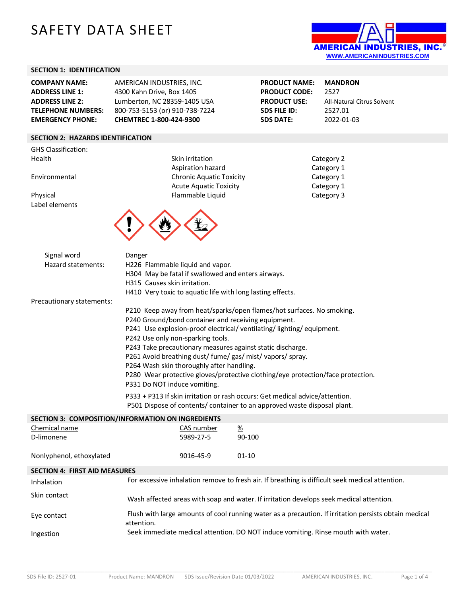# SAFETY DATA SHEET



#### **SECTION 1: IDENTIFICATION**

| <b>COMPANY NAME:</b>      | AMERICAN INDUSTRIES, INC.      |
|---------------------------|--------------------------------|
| <b>ADDRESS LINE 1:</b>    | 4300 Kahn Drive, Box 1405      |
| <b>ADDRESS LINE 2:</b>    | Lumberton, NC 28359-1405 USA   |
| <b>TELEPHONE NUMBERS:</b> | 800-753-5153 (or) 910-738-7224 |
| <b>EMERGENCY PHONE:</b>   | CHEMTREC 1-800-424-9300        |

#### **SECTION 2: HAZARDS IDENTIFICATION**

GHS Classification: Health Skin irritation Category 2011

Label elements

Aspiration hazard Environmental Chronic Aquatic Toxicity Acute Aquatic Toxicity Physical Flammable Liquid



**PRODUCT USE:** All-Natural Citrus Solvent **SDS FILE ID:** 2527.01 **SDS DATE:** 2022-01-03

**PRODUCT NAME: MANDRON PRODUCT CODE:** 2527

| Category 2 |
|------------|
| Category 1 |
| Category 1 |
| Category 1 |
| Category 3 |

| Signal word                          | Danger                                                              |                                                                                                       |  |
|--------------------------------------|---------------------------------------------------------------------|-------------------------------------------------------------------------------------------------------|--|
| Hazard statements:                   | H226 Flammable liquid and vapor.                                    |                                                                                                       |  |
|                                      | H304 May be fatal if swallowed and enters airways.                  |                                                                                                       |  |
|                                      | H315 Causes skin irritation.                                        |                                                                                                       |  |
|                                      | H410 Very toxic to aquatic life with long lasting effects.          |                                                                                                       |  |
| Precautionary statements:            |                                                                     |                                                                                                       |  |
|                                      |                                                                     | P210 Keep away from heat/sparks/open flames/hot surfaces. No smoking.                                 |  |
|                                      | P240 Ground/bond container and receiving equipment.                 |                                                                                                       |  |
|                                      | P241 Use explosion-proof electrical/ventilating/lighting/equipment. |                                                                                                       |  |
|                                      | P242 Use only non-sparking tools.                                   |                                                                                                       |  |
|                                      | P243 Take precautionary measures against static discharge.          |                                                                                                       |  |
|                                      | P261 Avoid breathing dust/ fume/ gas/ mist/ vapors/ spray.          |                                                                                                       |  |
|                                      | P264 Wash skin thoroughly after handling.                           |                                                                                                       |  |
|                                      |                                                                     | P280 Wear protective gloves/protective clothing/eye protection/face protection.                       |  |
|                                      | P331 Do NOT induce vomiting.                                        |                                                                                                       |  |
|                                      |                                                                     | P333 + P313 If skin irritation or rash occurs: Get medical advice/attention.                          |  |
|                                      |                                                                     | P501 Dispose of contents/ container to an approved waste disposal plant.                              |  |
|                                      | SECTION 3: COMPOSITION/INFORMATION ON INGREDIENTS                   |                                                                                                       |  |
| Chemical name                        | CAS number                                                          |                                                                                                       |  |
| D-limonene                           | 5989-27-5                                                           | $\frac{\%}{\%}$<br>90-100                                                                             |  |
|                                      |                                                                     |                                                                                                       |  |
| Nonlyphenol, ethoxylated             | 9016-45-9                                                           | $01 - 10$                                                                                             |  |
|                                      |                                                                     |                                                                                                       |  |
| <b>SECTION 4: FIRST AID MEASURES</b> |                                                                     |                                                                                                       |  |
| Inhalation                           |                                                                     | For excessive inhalation remove to fresh air. If breathing is difficult seek medical attention.       |  |
| Skin contact                         |                                                                     | Wash affected areas with soap and water. If irritation develops seek medical attention.               |  |
| Eye contact                          | attention.                                                          | Flush with large amounts of cool running water as a precaution. If irritation persists obtain medical |  |

\_\_\_\_\_\_\_\_\_\_\_\_\_\_\_\_\_\_\_\_\_\_\_\_\_\_\_\_\_\_\_\_\_\_\_\_\_\_\_\_\_\_\_\_\_\_\_\_\_\_\_\_\_\_\_\_\_\_\_\_\_\_\_\_\_\_\_\_\_\_\_\_\_\_\_\_\_\_\_\_\_\_\_\_\_\_\_\_\_\_\_\_\_\_\_\_\_\_\_\_\_\_\_\_\_\_\_\_\_\_\_\_\_\_\_\_\_\_\_\_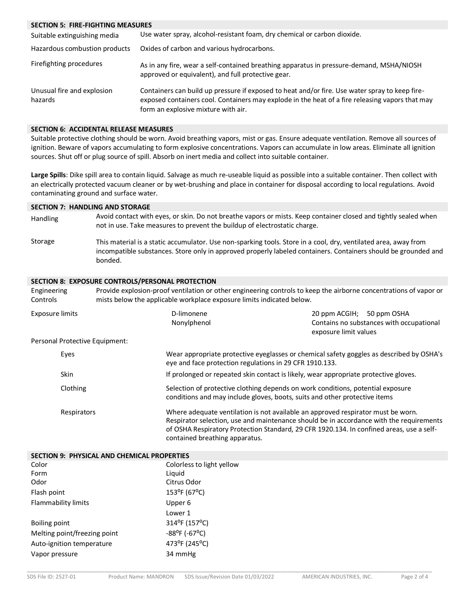#### **SECTION 5: FIRE-FIGHTING MEASURES**

| Suitable extinguishing media          | Use water spray, alcohol-resistant foam, dry chemical or carbon dioxide.                                                                                                                                                                 |
|---------------------------------------|------------------------------------------------------------------------------------------------------------------------------------------------------------------------------------------------------------------------------------------|
| Hazardous combustion products         | Oxides of carbon and various hydrocarbons.                                                                                                                                                                                               |
| Firefighting procedures               | As in any fire, wear a self-contained breathing apparatus in pressure-demand, MSHA/NIOSH<br>approved or equivalent), and full protective gear.                                                                                           |
| Unusual fire and explosion<br>hazards | Containers can build up pressure if exposed to heat and/or fire. Use water spray to keep fire-<br>exposed containers cool. Containers may explode in the heat of a fire releasing vapors that may<br>form an explosive mixture with air. |

#### **SECTION 6: ACCIDENTAL RELEASE MEASURES**

Suitable protective clothing should be worn. Avoid breathing vapors, mist or gas. Ensure adequate ventilation. Remove all sources of ignition. Beware of vapors accumulating to form explosive concentrations. Vapors can accumulate in low areas. Eliminate all ignition sources. Shut off or plug source of spill. Absorb on inert media and collect into suitable container.

**Large Spills**: Dike spill area to contain liquid. Salvage as much re-useable liquid as possible into a suitable container. Then collect with an electrically protected vacuum cleaner or by wet-brushing and place in container for disposal according to local regulations. Avoid contaminating ground and surface water.

#### **SECTION 7: HANDLING AND STORAGE**

- Handling Avoid contact with eyes, or skin. Do not breathe vapors or mists. Keep container closed and tightly sealed when not in use. Take measures to prevent the buildup of electrostatic charge. Storage This material is a static accumulator. Use non-sparking tools. Store in a cool, dry, ventilated area, away from
- incompatible substances. Store only in approved properly labeled containers. Containers should be grounded and bonded.

#### **SECTION 8: EXPOSURE CONTROLS/PERSONAL PROTECTION**

| Engineering<br>Controls        | mists below the applicable workplace exposure limits indicated below. | Provide explosion-proof ventilation or other engineering controls to keep the airborne concentrations of vapor or                                                                                                                                                       |
|--------------------------------|-----------------------------------------------------------------------|-------------------------------------------------------------------------------------------------------------------------------------------------------------------------------------------------------------------------------------------------------------------------|
| <b>Exposure limits</b>         | D-limonene<br>Nonylphenol                                             | 20 ppm ACGIH; 50 ppm OSHA<br>Contains no substances with occupational<br>exposure limit values                                                                                                                                                                          |
| Personal Protective Equipment: |                                                                       |                                                                                                                                                                                                                                                                         |
| Eyes                           | eye and face protection regulations in 29 CFR 1910.133.               | Wear appropriate protective eyeglasses or chemical safety goggles as described by OSHA's                                                                                                                                                                                |
| <b>Skin</b>                    |                                                                       | If prolonged or repeated skin contact is likely, wear appropriate protective gloves.                                                                                                                                                                                    |
| Clothing                       |                                                                       | Selection of protective clothing depends on work conditions, potential exposure<br>conditions and may include gloves, boots, suits and other protective items                                                                                                           |
| Respirators                    | contained breathing apparatus.                                        | Where adequate ventilation is not available an approved respirator must be worn.<br>Respirator selection, use and maintenance should be in accordance with the requirements<br>of OSHA Respiratory Protection Standard, 29 CFR 1920.134. In confined areas, use a self- |

| SECTION 9: PHYSICAL AND CHEMICAL PROPERTIES |                                              |  |
|---------------------------------------------|----------------------------------------------|--|
| Color                                       | Colorless to light yellow                    |  |
| Form                                        | Liguid                                       |  |
| Odor                                        | Citrus Odor                                  |  |
| Flash point                                 | $153^{\circ}F(67^{\circ}C)$                  |  |
| Flammability limits                         | Upper 6                                      |  |
|                                             | Lower 1                                      |  |
| Boiling point                               | 314°F (157°C)                                |  |
| Melting point/freezing point                | $-88$ <sup>o</sup> F ( $-67$ <sup>o</sup> C) |  |
| Auto-ignition temperature                   | 473°F (245°C)                                |  |
| Vapor pressure                              | 34 mmHg                                      |  |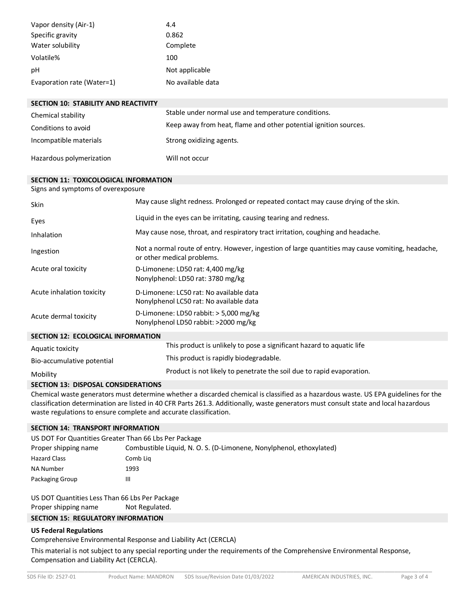| Vapor density (Air-1)      | 4.4               |
|----------------------------|-------------------|
| Specific gravity           | 0.862             |
| Water solubility           | Complete          |
| Volatile%                  | 100               |
| рH                         | Not applicable    |
| Evaporation rate (Water=1) | No available data |

| <b>SECTION 10: STABILITY AND REACTIVITY</b> |                                                                  |
|---------------------------------------------|------------------------------------------------------------------|
| Chemical stability                          | Stable under normal use and temperature conditions.              |
| Conditions to avoid                         | Keep away from heat, flame and other potential ignition sources. |
| Incompatible materials                      | Strong oxidizing agents.                                         |
| Hazardous polymerization                    | Will not occur                                                   |

#### **SECTION 11: TOXICOLOGICAL INFORMATION**

Signs and symptoms of overexposure

| Skin                                      | May cause slight redness. Prolonged or repeated contact may cause drying of the skin.                                           |  |
|-------------------------------------------|---------------------------------------------------------------------------------------------------------------------------------|--|
| Eyes                                      | Liquid in the eyes can be irritating, causing tearing and redness.                                                              |  |
| Inhalation                                | May cause nose, throat, and respiratory tract irritation, coughing and headache.                                                |  |
| Ingestion                                 | Not a normal route of entry. However, ingestion of large quantities may cause vomiting, headache,<br>or other medical problems. |  |
| Acute oral toxicity                       | D-Limonene: LD50 rat: 4,400 mg/kg<br>Nonylphenol: LD50 rat: 3780 mg/kg                                                          |  |
| Acute inhalation toxicity                 | D-Limonene: LC50 rat: No available data<br>Nonylphenol LC50 rat: No available data                                              |  |
| Acute dermal toxicity                     | D-Limonene: LD50 rabbit: $>$ 5,000 mg/kg<br>Nonylphenol LD50 rabbit: >2000 mg/kg                                                |  |
| <b>SECTION 12: ECOLOGICAL INFORMATION</b> |                                                                                                                                 |  |
| Aquatic toxicity                          | This product is unlikely to pose a significant hazard to aquatic life                                                           |  |
| Bio-accumulative potential                | This product is rapidly biodegradable.                                                                                          |  |
| Mobility                                  | Product is not likely to penetrate the soil due to rapid evaporation.                                                           |  |

### **SECTION 13: DISPOSAL CONSIDERATIONS**

Chemical waste generators must determine whether a discarded chemical is classified as a hazardous waste. US EPA guidelines for the classification determination are listed in 40 CFR Parts 261.3. Additionally, waste generators must consult state and local hazardous waste regulations to ensure complete and accurate classification.

#### **SECTION 14: TRANSPORT INFORMATION**

| US DOT For Quantities Greater Than 66 Lbs Per Package |                                                                     |  |
|-------------------------------------------------------|---------------------------------------------------------------------|--|
| Proper shipping name                                  | Combustible Liquid, N. O. S. (D-Limonene, Nonylphenol, ethoxylated) |  |
| <b>Hazard Class</b>                                   | Comb Lig                                                            |  |
| <b>NA Number</b>                                      | 1993                                                                |  |
| Packaging Group                                       | Ш                                                                   |  |

US DOT Quantities Less Than 66 Lbs Per Package Proper shipping name Not Regulated.

## **SECTION 15: REGULATORY INFORMATION**

### **US Federal Regulations**

Comprehensive Environmental Response and Liability Act (CERCLA)

This material is not subject to any special reporting under the requirements of the Comprehensive Environmental Response, Compensation and Liability Act (CERCLA).

\_\_\_\_\_\_\_\_\_\_\_\_\_\_\_\_\_\_\_\_\_\_\_\_\_\_\_\_\_\_\_\_\_\_\_\_\_\_\_\_\_\_\_\_\_\_\_\_\_\_\_\_\_\_\_\_\_\_\_\_\_\_\_\_\_\_\_\_\_\_\_\_\_\_\_\_\_\_\_\_\_\_\_\_\_\_\_\_\_\_\_\_\_\_\_\_\_\_\_\_\_\_\_\_\_\_\_\_\_\_\_\_\_\_\_\_\_\_\_\_